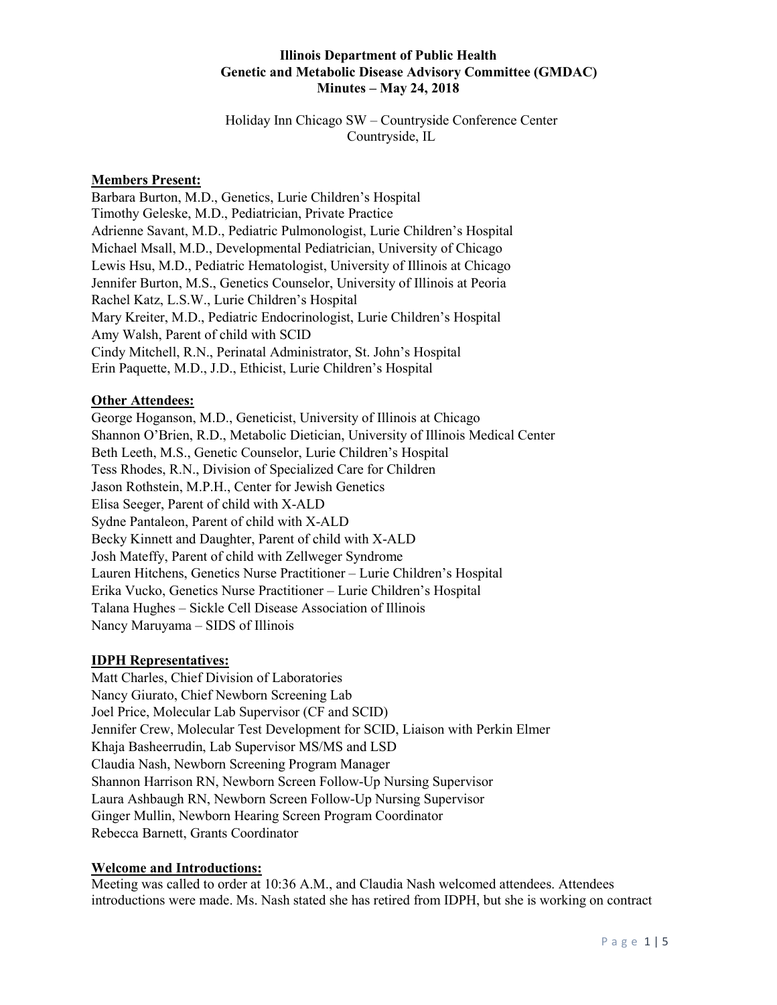Holiday Inn Chicago SW – Countryside Conference Center Countryside, IL

## **Members Present:**

Barbara Burton, M.D., Genetics, Lurie Children's Hospital Timothy Geleske, M.D., Pediatrician, Private Practice Adrienne Savant, M.D., Pediatric Pulmonologist, Lurie Children's Hospital Michael Msall, M.D., Developmental Pediatrician, University of Chicago Lewis Hsu, M.D., Pediatric Hematologist, University of Illinois at Chicago Jennifer Burton, M.S., Genetics Counselor, University of Illinois at Peoria Rachel Katz, L.S.W., Lurie Children's Hospital Mary Kreiter, M.D., Pediatric Endocrinologist, Lurie Children's Hospital Amy Walsh, Parent of child with SCID Cindy Mitchell, R.N., Perinatal Administrator, St. John's Hospital Erin Paquette, M.D., J.D., Ethicist, Lurie Children's Hospital

# **Other Attendees:**

George Hoganson, M.D., Geneticist, University of Illinois at Chicago Shannon O'Brien, R.D., Metabolic Dietician, University of Illinois Medical Center Beth Leeth, M.S., Genetic Counselor, Lurie Children's Hospital Tess Rhodes, R.N., Division of Specialized Care for Children Jason Rothstein, M.P.H., Center for Jewish Genetics Elisa Seeger, Parent of child with X-ALD Sydne Pantaleon, Parent of child with X-ALD Becky Kinnett and Daughter, Parent of child with X-ALD Josh Mateffy, Parent of child with Zellweger Syndrome Lauren Hitchens, Genetics Nurse Practitioner – Lurie Children's Hospital Erika Vucko, Genetics Nurse Practitioner – Lurie Children's Hospital Talana Hughes – Sickle Cell Disease Association of Illinois Nancy Maruyama – SIDS of Illinois

## **IDPH Representatives:**

Matt Charles, Chief Division of Laboratories Nancy Giurato, Chief Newborn Screening Lab Joel Price, Molecular Lab Supervisor (CF and SCID) Jennifer Crew, Molecular Test Development for SCID, Liaison with Perkin Elmer Khaja Basheerrudin, Lab Supervisor MS/MS and LSD Claudia Nash, Newborn Screening Program Manager Shannon Harrison RN, Newborn Screen Follow-Up Nursing Supervisor Laura Ashbaugh RN, Newborn Screen Follow-Up Nursing Supervisor Ginger Mullin, Newborn Hearing Screen Program Coordinator Rebecca Barnett, Grants Coordinator

## **Welcome and Introductions:**

Meeting was called to order at 10:36 A.M., and Claudia Nash welcomed attendees. Attendees introductions were made. Ms. Nash stated she has retired from IDPH, but she is working on contract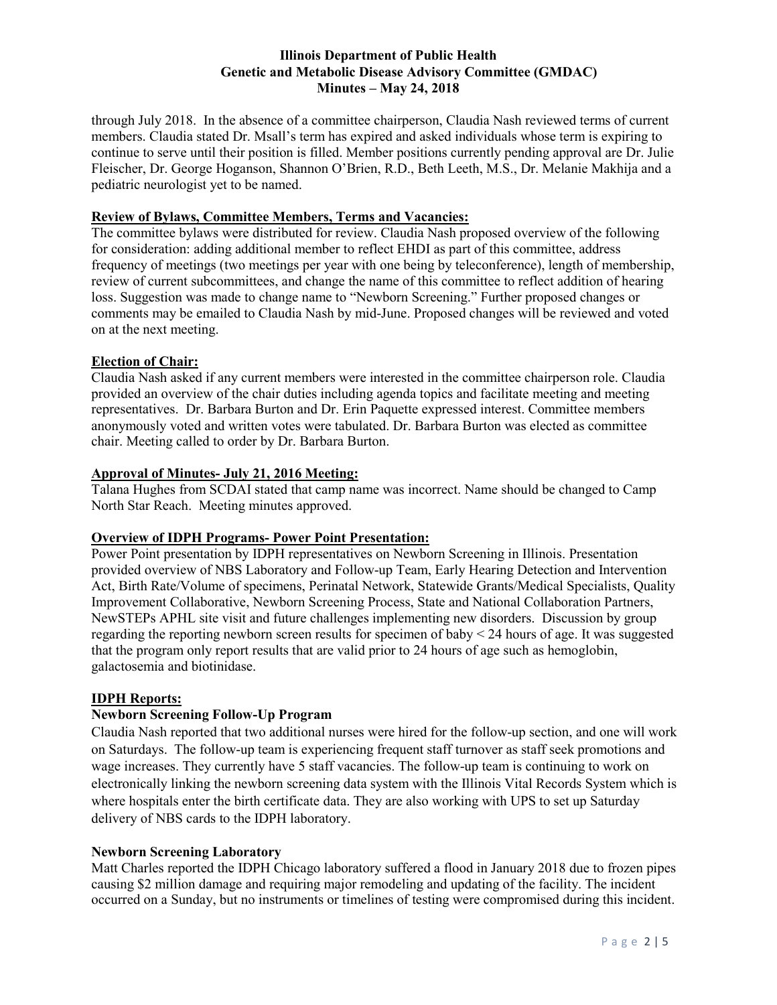through July 2018. In the absence of a committee chairperson, Claudia Nash reviewed terms of current members. Claudia stated Dr. Msall's term has expired and asked individuals whose term is expiring to continue to serve until their position is filled. Member positions currently pending approval are Dr. Julie Fleischer, Dr. George Hoganson, Shannon O'Brien, R.D., Beth Leeth, M.S., Dr. Melanie Makhija and a pediatric neurologist yet to be named.

# **Review of Bylaws, Committee Members, Terms and Vacancies:**

The committee bylaws were distributed for review. Claudia Nash proposed overview of the following for consideration: adding additional member to reflect EHDI as part of this committee, address frequency of meetings (two meetings per year with one being by teleconference), length of membership, review of current subcommittees, and change the name of this committee to reflect addition of hearing loss. Suggestion was made to change name to "Newborn Screening." Further proposed changes or comments may be emailed to Claudia Nash by mid-June. Proposed changes will be reviewed and voted on at the next meeting.

#### **Election of Chair:**

Claudia Nash asked if any current members were interested in the committee chairperson role. Claudia provided an overview of the chair duties including agenda topics and facilitate meeting and meeting representatives. Dr. Barbara Burton and Dr. Erin Paquette expressed interest. Committee members anonymously voted and written votes were tabulated. Dr. Barbara Burton was elected as committee chair. Meeting called to order by Dr. Barbara Burton.

# **Approval of Minutes- July 21, 2016 Meeting:**

Talana Hughes from SCDAI stated that camp name was incorrect. Name should be changed to Camp North Star Reach. Meeting minutes approved.

# **Overview of IDPH Programs- Power Point Presentation:**

Power Point presentation by IDPH representatives on Newborn Screening in Illinois. Presentation provided overview of NBS Laboratory and Follow-up Team, Early Hearing Detection and Intervention Act, Birth Rate/Volume of specimens, Perinatal Network, Statewide Grants/Medical Specialists, Quality Improvement Collaborative, Newborn Screening Process, State and National Collaboration Partners, NewSTEPs APHL site visit and future challenges implementing new disorders. Discussion by group regarding the reporting newborn screen results for specimen of baby < 24 hours of age. It was suggested that the program only report results that are valid prior to 24 hours of age such as hemoglobin, galactosemia and biotinidase.

#### **IDPH Reports:**

## **Newborn Screening Follow-Up Program**

Claudia Nash reported that two additional nurses were hired for the follow-up section, and one will work on Saturdays. The follow-up team is experiencing frequent staff turnover as staff seek promotions and wage increases. They currently have 5 staff vacancies. The follow-up team is continuing to work on electronically linking the newborn screening data system with the Illinois Vital Records System which is where hospitals enter the birth certificate data. They are also working with UPS to set up Saturday delivery of NBS cards to the IDPH laboratory.

#### **Newborn Screening Laboratory**

Matt Charles reported the IDPH Chicago laboratory suffered a flood in January 2018 due to frozen pipes causing \$2 million damage and requiring major remodeling and updating of the facility. The incident occurred on a Sunday, but no instruments or timelines of testing were compromised during this incident.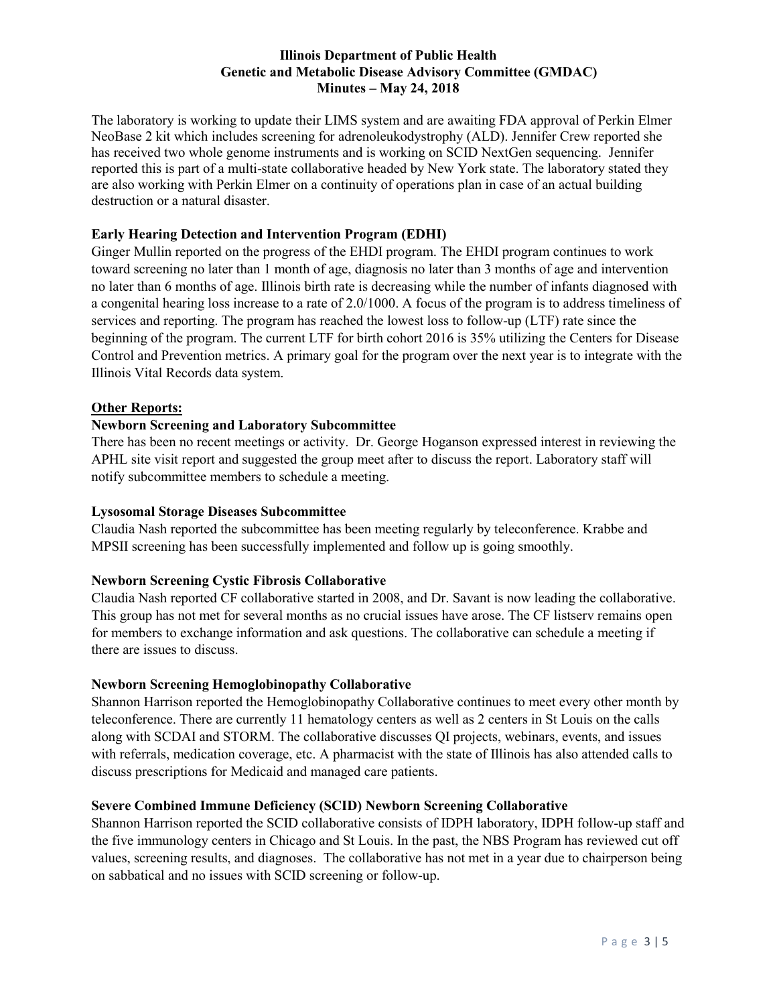The laboratory is working to update their LIMS system and are awaiting FDA approval of Perkin Elmer NeoBase 2 kit which includes screening for adrenoleukodystrophy (ALD). Jennifer Crew reported she has received two whole genome instruments and is working on SCID NextGen sequencing. Jennifer reported this is part of a multi-state collaborative headed by New York state. The laboratory stated they are also working with Perkin Elmer on a continuity of operations plan in case of an actual building destruction or a natural disaster.

# **Early Hearing Detection and Intervention Program (EDHI)**

Ginger Mullin reported on the progress of the EHDI program. The EHDI program continues to work toward screening no later than 1 month of age, diagnosis no later than 3 months of age and intervention no later than 6 months of age. Illinois birth rate is decreasing while the number of infants diagnosed with a congenital hearing loss increase to a rate of 2.0/1000. A focus of the program is to address timeliness of services and reporting. The program has reached the lowest loss to follow-up (LTF) rate since the beginning of the program. The current LTF for birth cohort 2016 is 35% utilizing the Centers for Disease Control and Prevention metrics. A primary goal for the program over the next year is to integrate with the Illinois Vital Records data system.

## **Other Reports:**

# **Newborn Screening and Laboratory Subcommittee**

There has been no recent meetings or activity. Dr. George Hoganson expressed interest in reviewing the APHL site visit report and suggested the group meet after to discuss the report. Laboratory staff will notify subcommittee members to schedule a meeting.

## **Lysosomal Storage Diseases Subcommittee**

Claudia Nash reported the subcommittee has been meeting regularly by teleconference. Krabbe and MPSII screening has been successfully implemented and follow up is going smoothly.

## **Newborn Screening Cystic Fibrosis Collaborative**

Claudia Nash reported CF collaborative started in 2008, and Dr. Savant is now leading the collaborative. This group has not met for several months as no crucial issues have arose. The CF listserv remains open for members to exchange information and ask questions. The collaborative can schedule a meeting if there are issues to discuss.

## **Newborn Screening Hemoglobinopathy Collaborative**

Shannon Harrison reported the Hemoglobinopathy Collaborative continues to meet every other month by teleconference. There are currently 11 hematology centers as well as 2 centers in St Louis on the calls along with SCDAI and STORM. The collaborative discusses QI projects, webinars, events, and issues with referrals, medication coverage, etc. A pharmacist with the state of Illinois has also attended calls to discuss prescriptions for Medicaid and managed care patients.

## **Severe Combined Immune Deficiency (SCID) Newborn Screening Collaborative**

Shannon Harrison reported the SCID collaborative consists of IDPH laboratory, IDPH follow-up staff and the five immunology centers in Chicago and St Louis. In the past, the NBS Program has reviewed cut off values, screening results, and diagnoses. The collaborative has not met in a year due to chairperson being on sabbatical and no issues with SCID screening or follow-up.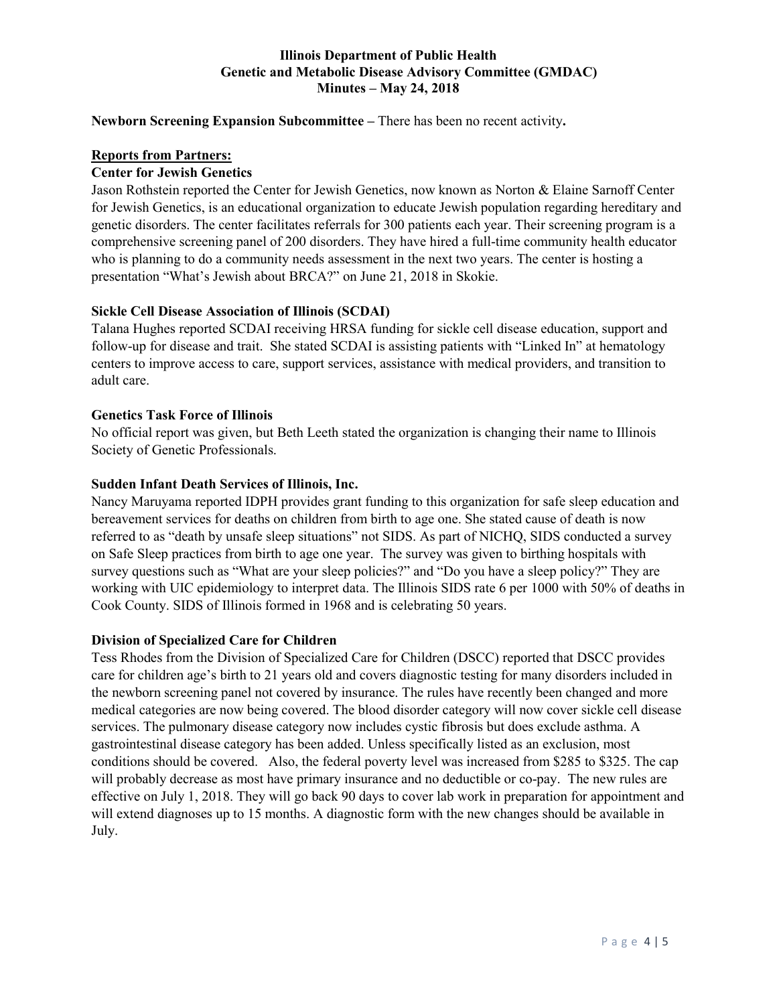## **Newborn Screening Expansion Subcommittee –** There has been no recent activity**.**

#### **Reports from Partners:**

#### **Center for Jewish Genetics**

Jason Rothstein reported the Center for Jewish Genetics, now known as Norton & Elaine Sarnoff Center for Jewish Genetics, is an educational organization to educate Jewish population regarding hereditary and genetic disorders. The center facilitates referrals for 300 patients each year. Their screening program is a comprehensive screening panel of 200 disorders. They have hired a full-time community health educator who is planning to do a community needs assessment in the next two years. The center is hosting a presentation "What's Jewish about BRCA?" on June 21, 2018 in Skokie.

## **Sickle Cell Disease Association of Illinois (SCDAI)**

Talana Hughes reported SCDAI receiving HRSA funding for sickle cell disease education, support and follow-up for disease and trait. She stated SCDAI is assisting patients with "Linked In" at hematology centers to improve access to care, support services, assistance with medical providers, and transition to adult care.

#### **Genetics Task Force of Illinois**

No official report was given, but Beth Leeth stated the organization is changing their name to Illinois Society of Genetic Professionals.

#### **Sudden Infant Death Services of Illinois, Inc.**

Nancy Maruyama reported IDPH provides grant funding to this organization for safe sleep education and bereavement services for deaths on children from birth to age one. She stated cause of death is now referred to as "death by unsafe sleep situations" not SIDS. As part of NICHQ, SIDS conducted a survey on Safe Sleep practices from birth to age one year. The survey was given to birthing hospitals with survey questions such as "What are your sleep policies?" and "Do you have a sleep policy?" They are working with UIC epidemiology to interpret data. The Illinois SIDS rate 6 per 1000 with 50% of deaths in Cook County. SIDS of Illinois formed in 1968 and is celebrating 50 years.

#### **Division of Specialized Care for Children**

Tess Rhodes from the Division of Specialized Care for Children (DSCC) reported that DSCC provides care for children age's birth to 21 years old and covers diagnostic testing for many disorders included in the newborn screening panel not covered by insurance. The rules have recently been changed and more medical categories are now being covered. The blood disorder category will now cover sickle cell disease services. The pulmonary disease category now includes cystic fibrosis but does exclude asthma. A gastrointestinal disease category has been added. Unless specifically listed as an exclusion, most conditions should be covered. Also, the federal poverty level was increased from \$285 to \$325. The cap will probably decrease as most have primary insurance and no deductible or co-pay. The new rules are effective on July 1, 2018. They will go back 90 days to cover lab work in preparation for appointment and will extend diagnoses up to 15 months. A diagnostic form with the new changes should be available in July.